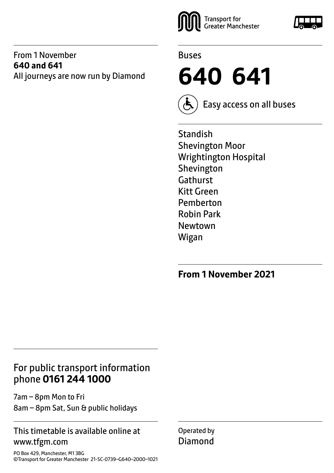#### From 1 November **640 and 641** All journeys are now run by Diamond





**640 641**



Easy access on all buses

**Standish** Shevington Moor Wrightington Hospital Shevington Gathurst Kitt Green Pemberton Robin Park Newtown Wigan

**From 1 November 2021**

## For public transport information phone **0161 244 1000**

7am – 8pm Mon to Fri 8am – 8pm Sat, Sun & public holidays

#### This timetable is available online at www.tfgm.com

PO Box 429, Manchester, M1 3BG ©Transport for Greater Manchester 21-SC-0739–G640–2000–1021 Operated by Diamond

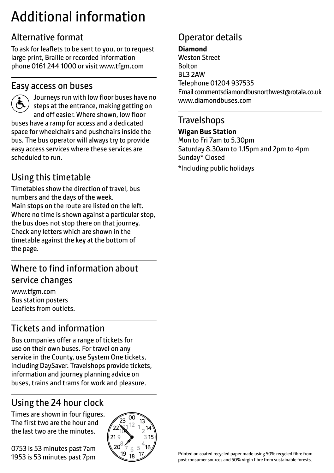## Additional information

## Alternative format

To ask for leaflets to be sent to you, or to request large print, Braille or recorded information phone 0161 244 1000 or visit www.tfgm.com

#### Easy access on buses



 Journeys run with low floor buses have no steps at the entrance, making getting on and off easier. Where shown, low floor buses have a ramp for access and a dedicated space for wheelchairs and pushchairs inside the bus. The bus operator will always try to provide easy access services where these services are scheduled to run.

## Using this timetable

Timetables show the direction of travel, bus numbers and the days of the week. Main stops on the route are listed on the left. Where no time is shown against a particular stop, the bus does not stop there on that journey. Check any letters which are shown in the timetable against the key at the bottom of the page.

## Where to find information about service changes

www.tfgm.com Bus station posters Leaflets from outlets.

## Tickets and information

Bus companies offer a range of tickets for use on their own buses. For travel on any service in the County, use System One tickets, including DaySaver. Travelshops provide tickets, information and journey planning advice on buses, trains and trams for work and pleasure.

## Using the 24 hour clock

Times are shown in four figures. The first two are the hour and the last two are the minutes.

0753 is 53 minutes past 7am 1953 is 53 minutes past 7pm



## Operator details

#### **Diamond**

Weston Street Bolton BL3 2AW Telephone 01204 937535 Email commentsdiamondbusnorthwest@rotala.co.uk www.diamondbuses.com

#### **Travelshops**

#### **Wigan Bus Station**

Mon to Fri 7am to 5.30pm Saturday 8.30am to 1.15pm and 2pm to 4pm Sunday\* Closed

\*Including public holidays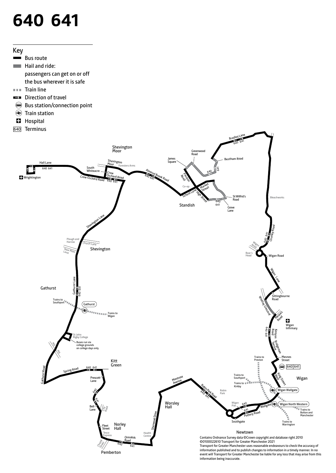# **640 641**



- passengers can get on or off the bus wherever it is safe
- Train line
- EЗ Direction of travel
- Bus station/connection point
- Train station
- $\blacksquare$  Hospital
- 640Terminus

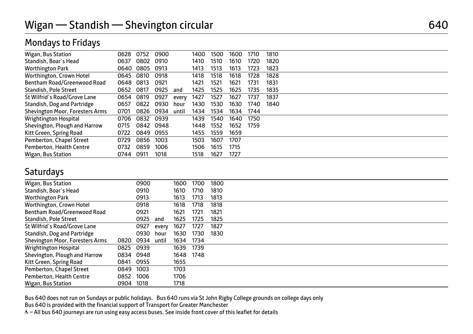| <b>Mondays to Fridays</b> |  |  |  |
|---------------------------|--|--|--|
|---------------------------|--|--|--|

| Wigan, Bus Station                     | 0628 | 0752 | 0900 |       | 1400 | 1500 | 1600 | 1710 | 1810 |  |
|----------------------------------------|------|------|------|-------|------|------|------|------|------|--|
| Standish, Boar's Head                  | 0637 | 0802 | 0910 |       | 1410 | 1510 | 1610 | 1720 | 1820 |  |
| <b>Worthington Park</b>                | 0640 | 0805 | 0913 |       | 1413 | 1513 | 1613 | 1723 | 1823 |  |
| Worthington, Crown Hotel               | 0645 | 0810 | 0918 |       | 1418 | 1518 | 1618 | 1728 | 1828 |  |
| Bentham Road/Greenwood Road            | 0648 | 0813 | 0921 |       | 1421 | 1521 | 1621 | 1731 | 1831 |  |
| Standish, Pole Street                  | 0652 | 0817 | 0925 | and   | 1425 | 1525 | 1625 | 1735 | 1835 |  |
| St Wilfrid's Road/Grove Lane           | 0654 | 0819 | 0927 | every | 1427 | 1527 | 1627 | 1737 | 1837 |  |
| Standish, Dog and Partridge            | 0657 | 0822 | 0930 | hour  | 1430 | 1530 | 1630 | 1740 | 1840 |  |
| <b>Shevington Moor, Foresters Arms</b> | 0701 | 0826 | 0934 | until | 1434 | 1534 | 1634 | 1744 |      |  |
| Wrightington Hospital                  | 0706 | 0832 | 0939 |       | 1439 | 1540 | 1640 | 1750 |      |  |
| Shevington, Plough and Harrow          | 0715 | 0842 | 0948 |       | 1448 | 1552 | 1652 | 1759 |      |  |
| Kitt Green, Spring Road                | 0722 | 0849 | 0955 |       | 1455 | 1559 | 1659 |      |      |  |
| Pemberton, Chapel Street               | 0729 | 0856 | 1003 |       | 1503 | 1607 | 1707 |      |      |  |
| Pemberton, Health Centre               | 0732 | 0859 | 1006 |       | 1506 | 1615 | 1715 |      |      |  |
| Wigan, Bus Station                     | 0744 | 0911 | 1018 |       | 1518 | 1627 | 1727 |      |      |  |

#### **Saturdays**

| Wigan, Bus Station                     |      | 0900 |       | 1600 | 1700 | 1800 |  |
|----------------------------------------|------|------|-------|------|------|------|--|
| Standish, Boar's Head                  |      | 0910 |       | 1610 | 1710 | 1810 |  |
| <b>Worthington Park</b>                |      | 0913 |       | 1613 | 1713 | 1813 |  |
| Worthington, Crown Hotel               |      | 0918 |       | 1618 | 1718 | 1818 |  |
| Bentham Road/Greenwood Road            |      | 0921 |       | 1621 | 1721 | 1821 |  |
| Standish, Pole Street                  |      | 0925 | and   | 1625 | 1725 | 1825 |  |
| St Wilfrid's Road/Grove Lane           |      | 0927 | every | 1627 | 1727 | 1827 |  |
| Standish, Dog and Partridge            |      | 0930 | hour  | 1630 | 1730 | 1830 |  |
| <b>Shevington Moor, Foresters Arms</b> | 0820 | 0934 | until | 1634 | 1734 |      |  |
| Wrightington Hospital                  | 0825 | 0939 |       | 1639 | 1739 |      |  |
| Shevington, Plough and Harrow          | 0834 | 0948 |       | 1648 | 1748 |      |  |
| Kitt Green, Spring Road                | 0841 | 0955 |       | 1655 |      |      |  |
| Pemberton, Chapel Street               | 0849 | 1003 |       | 1703 |      |      |  |
| Pemberton, Health Centre               | 0852 | 1006 |       | 1706 |      |      |  |
| Wigan, Bus Station                     | 0904 | 1018 |       | 1718 |      |      |  |

Bus 640 does not run on Sundays or public holidays. Bus 640 runs via St John Rigby College grounds on college days only

Bus 640 is provided with the financial support of Transport for Greater Manchester

& - All bus 640 journeys are run using easy access buses. See inside front cover of this leaflet for details